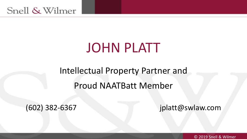# JOHN PLATT

## Intellectual Property Partner and Proud NAATBatt Member

(602) 382-6367 jplatt@swlaw.com

1 © 2019 Snell & Wilmer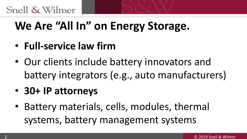#### Snell & Wilmer

# **We Are "All In" on Energy Storage.**

- **Full-service law firm**
- Our clients include battery innovators and battery integrators (e.g., auto manufacturers)
- **30+ IP attorneys**
- Battery materials, cells, modules, thermal systems, battery management systems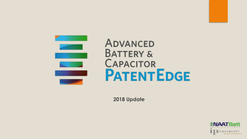

#### **ADVANCED BATTERY & CAPACITOR PATENTEDGE**

**2018 Update**

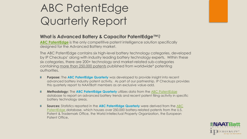# ABC PatentEdge Quarterly Report

#### **What is Advanced Battery & Capacitor PatentEdge™**?

**[ABC PatentEdge](http://www.abcpatentedge.com/)** is the only competitive patent intelligence solution specifically designed for the Advanced Battery market.

The ABC PatentEdge contains six high-level battery technology categories, developed by IP Checkups' along with industry leading battery technology experts. Within these six categories, there are 200+ technology and market-related sub-categories containing more than 250,000 patents published from worldwide\* patenting authorities.

- **Purpose:** The **ABC PatentEdge Quarterly** was developed to provide insight into recent Ξ advanced battery industry patent activity. As part of our partnership, IP Checkups provides this quarterly report to NAATBatt members as an exclusive value-add.
- **Methodology:** The **ABC PatentEdge Quarterly** utilizes data from the [ABC PatentEdge](http://www.abcpatentedge.com/)  Ξ database to report on advanced battery trends and recent patent filing activity in specific battery technology areas.
- **Sources:** Statistics reported in the **ABC PatentEdge Quarterly** were derived from the ABC Ξ [PatentEdge database, which houses over 250,000 battery-related patents from the U.S.](http://www.abcpatentedge.com/)  Patent & Trademark Office, the World Intellectual Property Organization, the European Patent Office.

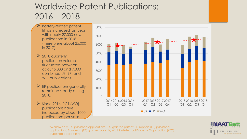#### Worldwide Patent Publications: 2016 – 2018

- ➢ Battery-related patent filings increased last year, with nearly 27,000 new publications in 2018 (there were about 25,000 in 2017).
- $\geq 2018$  quarterly publication volume fluctuated between about 6,000 and 7,000 combined US, EP, and WO publications.
- $\triangleright$  EP publications generally remained steady during 2018.
- $\triangleright$  Since 2016, PCT (WO) publications have increased by about 1000 publications per year.



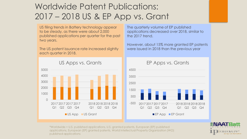#### Worldwide Patent Publications: 2017 – 2018 US & EP App vs. Grant

US filing trends in Battery technology appear to be steady, as there were about 2,000 published applications per quarter for the past two years.

The US patent issuance rate increased slightly each quarter in 2018.

The quarterly volume of EP published applications decreased over 2018, similar to the 2017 trend.

However, about 15% more granted EP patents were issued in 2018 than the previous year



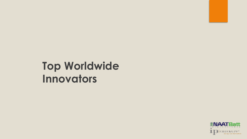## **Top Worldwide Innovators**

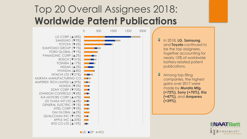#### Top 20 Overall Assignees 2018: **Worldwide Patent Publications**

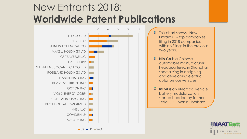#### New Entrants 2018: **Worldwide Patent Publications**



This chart shows "New Entrants" - top companies filing in 2018 companies with no filings in the previous two years.

- 圖 **Nio Co** is a Chinese automobile manufacturer headquartered in Shanghai, specializing in designing and developing electric autonomous vehicles.
- 僵 **InEvit** is an electrical vehicle battery modularization started headed by former Tesla CEO Mertin Eberhard.

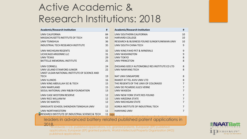#### Active Academic & Research Institutions: 2018

| Academic/Research Institution                   | #        | Academic/Research Institution                  | #              |
|-------------------------------------------------|----------|------------------------------------------------|----------------|
| UNIV CALIFORNIA                                 | 84       | UNIV SOUTHERN CALIFORNIA                       | 10             |
| <b>MASSACHUSETTS INSTITUTE OF TECH</b>          | 63       | <b>HARVARD COLLEGE</b>                         | 10             |
| <b>UNIV TSINGHUA</b>                            | 36       | RESEARCH & BUSINESS FOUND SUNGKYUNKWAN UNIV    | 10             |
| <b>INDUSTRIAL TECH RESEARCH INSTITUTE</b>       | 35       | UNIV SOUTH CHINA TECH                          | 9              |
| UNIV MICHIGAN REGENTS                           | 32       | UNIV KING FAHD PET & MINERALS                  | 9              |
| <b>UCHICAGO ARGONNE LLC</b>                     | 31       | <b>UNIV WASHINGTON</b>                         | 9              |
| <b>UNIV TEXAS</b>                               | 29       | <b>UNIV TOKYO</b>                              | 8              |
| <b>BATTELLE MEMORIAL INSTITUTE</b>              | 25       | UNIV PRINCETON                                 | 8              |
| UNIV CORNELL                                    | 24       | ZHEJIANG GEELY AUTOMOBILE RES INSTITUTE CO LTD | 8              |
| UNIV LELAND STANFORD JUNIOR                     | 22       | UNIV NANYANG TECH                              | 8              |
| UNIST ULSAN NATIONAL INSTITUTE OF SCIENCE AND   |          |                                                |                |
| <b>TECH</b>                                     | 19       | <b>NAT UNIV SINGAPORE</b>                      | 8              |
| UNIV ILLINOIS                                   | 16       | RAMOT AT TEL AVIV UNIV LTD                     | 8              |
| UNIV KING ABDULLAH SCI & TECH                   | 15       | THE REGENTS OF THE UNIV OF COLORADO            | $\overline{7}$ |
| <b>UNIV MARYLAND</b>                            | 15       | UNIV DE PICARDIE JULES VERNE                   | 7              |
| SEQUE NATIONAL UNIV R&DB FOUNDATION             | 13       | UNIV WASEDA                                    | 7              |
| UNIV CASE WESTERN RESERVE                       | 12       | UNIV NEW YORK STATE RES FOUND                  | $\overline{7}$ |
| UNIV RICE WILLIAM M                             | 12       | UNIV ARIZONA STATE                             | 7              |
| UNIV DE NANTES                                  | 12       | UNIV MICHIGAN STATE                            | 7              |
| <b>GRADUATE SCHOOL SHENZHEN TSINGHUA UNIV</b>   | 12       | KOREA INSTITUTE OF INDUSTRIAL TECH             | 7              |
| <b>UNIV NORTHWESTERN</b>                        | 11       | <b>HANYANG UNIV</b>                            | 7              |
| RESEARCH INSTITUTE OF INDUSTRIAL SCIENCE & TECH | $11$ res |                                                |                |

leaders in advanced battery related published patent applications in 2018.<br>Worldwide = U.S. published applications, U.S. granted patents, European (EP) published

applications, European (EP) granted patents, World Intellectual Property Organization (WO) published applications

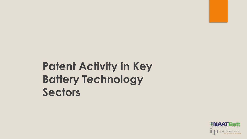# **Patent Activity in Key Battery Technology Sectors**

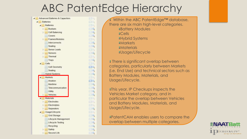#### ABC PatentEdge Hierarchy

 $134.$ 

印刷

il54

134

**IENA** 

 $n = 41$ 

**Edit HOTAL** 

**FF 44** 

**EBA HOTAL** 

田市

 $0.14$ **DEAT** 

534

**STAR** 

**ISSUE** 

**CORE** 

四头

 $\Box$ 

**GENERAL** 

 $\mathbb{R}^n$ 

**DE** 

**TIBRA** 

 $\Box$ 

534

**IE.4** 

134

534

**ISA** 

1000



Within the ABC PatentEdge™ database, there are six main high-level categories. Battery Modules Cells Hybrid Systems *<u>Markets</u> <u>Materials</u>* Usage/Lifecycle

**There is significant overlap between** categories, particularly between Markets (i.e. End Use) and technical sectors such as Battery Modules, Materials, and Usage/Lifecycle.

**This year, IP Checkups inspects the** Vehicles Market category, and in particular the overlap between Vehicles and Battery Modules, Materials, and Usage/Lifecycle.

PatentCAM enables users to compare the overlap between multiple categories.

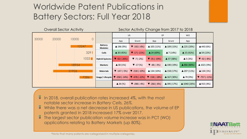#### Worldwide Patent Publications in Battery Sectors: Full Year 2018

| <b>Overall Sector Activity</b> |       |       |                |                                  | Sector Activity Change from 2017 to 2018 |                                  |                                  |                       |                        |                       |
|--------------------------------|-------|-------|----------------|----------------------------------|------------------------------------------|----------------------------------|----------------------------------|-----------------------|------------------------|-----------------------|
|                                |       |       | <b>US</b>      |                                  | EP                                       |                                  | <b>WO</b>                        |                       |                        |                       |
| 30000                          | 20000 | 10000 | $\overline{0}$ |                                  | App                                      | Grant                            | App                              | Grant                 | App                    |                       |
|                                |       |       | 12247          | <b>Battery</b><br><b>Modules</b> | $\triangle$ 196 (9%)                     | $\blacktriangledown$ -192 (-8%)  | $\triangle$ 105 (11%)            | $\triangle$ 109 (15%) | ▲ 225 (20%)            | ▲ 443 (6%)            |
|                                |       |       | 3291           | Cells                            | $\triangle$ 30 (45%)                     | $\nabla - 17 (-21\%)$            | $\triangle$ 24 (69%)             | $\triangle$ 7 (14%)   | $\triangle$ 15 (41%)   | $\triangle$ 59 (22%)  |
|                                |       |       | 1033           | <b>Hybrid Systems</b>            | $\blacktriangledown$ -92 (-26%)          | $\nabla - 7(-2%)$                | $\blacktriangledown$ -35 (-19%)  | $\triangle$ 37 (38%)  | $\triangle$ 5 (3%)     | $\Psi - 92 (-8%)$     |
|                                |       | 18954 |                | Markets                          | $\triangle$ 30 (1%)                      | $\blacktriangledown$ -17 (%)     | $\blacktriangledown$ -48 (-3%)   | $\triangle$ 190 (19%) | $\triangle$ 866 (80%)  | $\triangle$ 1021 (9%) |
|                                |       | 21926 |                | <b>Materials</b>                 | $\blacktriangledown$ -147 (-5%)          | $\blacktriangledown$ -218 (-10%) | $\triangle$ 134 (10%)            | $\triangle$ 158 (17%) | ▲ 207 (11%)            | $\triangle$ 134 (1%)  |
|                                |       |       | 7286           | Usage/Lifecycle                  | $\blacktriangledown$ -358 (-14%)         | $\blacktriangledown$ -478 (-22%) | $\blacktriangledown$ -158 (-18%) | $\triangle$ 167 (30%) | $\triangle$ 70 (9%)    | $\nabla - 757 (-11%)$ |
|                                |       |       |                |                                  | $\triangle$ 34 (%)                       | $\blacktriangledown$ -288 (-4%)  | $\blacktriangledown$ -266 (-8%)  | $\triangle$ 395 (17%) | $\triangle$ 1040 (26%) | $\triangle$ 915 (4%)  |

- $\frac{1}{3}$  In 2018, overall publication rates increased 4%, with the most notable sector increase in *Battery Cells, 26%.*
- While there was a net decrease in US publications, the volume of EP patents granted in 2018 increased 17% over 2017.
- The largest sector publication volume increase was in PCT (WO) applications relating to Battery Markets (up 80%).



\*Note that many patents are categorized in multiple categories.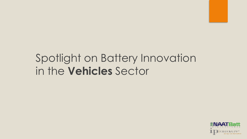## Spotlight on Battery Innovation in the **Vehicles** Sector

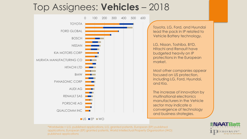#### Top Assignees: **Vehicles** – 2018



Toyota, LG, Ford, and Hyundai lead the pack in IP related to Vehicle Battery technology.

LG, Nissan, Toshiba, BYD, Hitachi and Renault have budgeted heavily on IP protections in the European market.

Most other companies appear focused on US protection, including LG, Ford, Hyundai, and Kia.

The increase of innovation by multinational electronics manufacturers in the Vehicle sector may indicate a convergence of technology and business strategies.

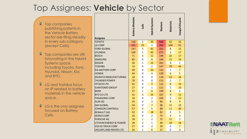#### Top Assignees: **Vehicle** by Sector

- Ε Top companies publishing patents in the Vehicle Battery sector are filing steadily in every sub-category (except Cells).
- 듷 Top companies are still innovating in the Hybrid Systems space, including Toyota, Ford, Hyundai, Nissan, Kia, and BYD.
- ミ LG and Toshiba focus on IP related to battery materials in the vehicle space.
- Ξ. LG is the only assignee focused on Battery Cells.

|                                   | <b>Battery Modules</b> | Cells          | Hybrid Systems | Markets | Materials      | Usage/Lifecycle |
|-----------------------------------|------------------------|----------------|----------------|---------|----------------|-----------------|
| <b>Assignee</b>                   |                        |                |                |         |                |                 |
| <b>TOYOTA</b>                     | 158                    | $\overline{2}$ | 35             | 506     | 42             | 43              |
| LG CORP                           | 335                    | 35             | $\overline{2}$ | 492     | 104            | 91              |
| <b>FORD GLOBAL</b>                | 147                    | 3              | 41             | 351     | 8              | 15              |
| <b>HYUNDAI</b>                    | 104                    | $\mathbf{1}$   | 45             | 271     | 5              | 17              |
| <b>BOSCH</b>                      | 71                     | $\overline{3}$ | 12             | 194     | 22             | 17              |
| SAMSUNG                           | 85                     | 0              | 8              | 164     | 15             | 19              |
| <b>NISSAN</b>                     | 36                     | $\mathbf{1}$   | 23             | 161     | $\overline{4}$ | $\mathbf{1}$    |
| <b>TOSHIBA</b>                    | 19                     | 0              | $\overline{2}$ | 147     | 78             | 44              |
| <b>KIA MOTORS CORP</b>            | 49                     | 0              | 20             | 141     | $\overline{1}$ | $\overline{7}$  |
| <b>HONDA</b>                      | 44                     | 0              | $\overline{4}$ | 139     | 6              | 5               |
| <b>MURATA MANUFACTURING</b>       | 18                     | 0              | 0              | 118     | 52             | 26              |
| <b>THUNDER POWER</b>              | 70                     | $\mathbf 0$    | $\Omega$       | 112     | $\overline{2}$ | $\overline{7}$  |
| <b>HITACHI LTD</b>                | 61                     | 0              | 9              | 112     | 8              | 14              |
| <b>SUMITOMO GROUP</b>             | 27                     | $\Omega$       | $\overline{1}$ | 111     | $\overline{2}$ | 10              |
| <b>BMW</b>                        | 37                     | $\mathbf{1}$   | 8              | 109     | 8              | $\overline{2}$  |
| <b>BYD CO LTD</b>                 | 41                     | 3              | 25             | 107     | 9              | 13              |
| PANASONIC CORP                    | 18                     | 0              | $\overline{2}$ | 105     | 3              | 12              |
| <b>AUDI AG</b>                    | 35                     | 0              | $\overline{3}$ | 96      | 8              | 9               |
| <b>GM GLOBAL</b>                  | 54                     | 0              | $\overline{7}$ | 96      | 11             | 10              |
| JOHNSON CONTROLS                  | 57                     | 3              | 5              | 88      | 11             | 40              |
| <b>RENAULT SAS</b>                | 42                     | 0              | 18             | 82      | 3              | 5               |
| <b>DENSO CORP</b>                 | 20                     | 0              | $\overline{2}$ | 75      | 5              | 3               |
| <b>PORSCHE AG</b>                 | 28                     | $\mathbf{1}$   | $\overline{2}$ | 72      | 11             | $\overline{2}$  |
| <b>LITHIUM ENERGY &amp; POWER</b> | 28                     | $\overline{2}$ | $\mathbf{1}$   | 48      | 18             | 18              |
| <b>VOLVO TRUCK CORP</b>           | 27                     | 0              | $\overline{2}$ | 39      | 0              | $\overline{7}$  |
| JAGUAR LAND ROVER LTD             | 26                     | $\mathbf{1}$   | 6              | 37      | 0              | $\overline{a}$  |

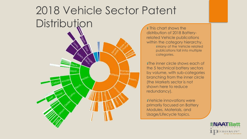# 2018 Vehicle Sector Patent Distribution **This chart shows the**



distribution of 2018 Batteryrelated Vehicle publications within the category hierarchy. **Many of the Vehicle related** publications fall into multiple categories.

The inner circle shows each of the 5 technical battery sectors by volume, with sub-categories branching from the inner circle (the Markets sector is not shown here to reduce redundancy).

Vehicle innovations were primarily focused on Battery Modules, Materials, and Usage/Lifecycle topics.

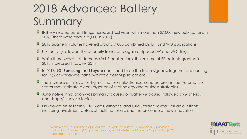# 2018 Advanced Battery Summary

- Battery-related patent filings increased last year, with more than 27,000 new publications in 2018 (there were about 25,000 in 2017).
- 2018 quarterly volume hovered around 7,000 combined US, EP, and WO publications.
- U.S. activity followed the quarterly trend, and again outpaced EP and WO filings.
- $\frac{1}{3}$  While there was a net decrease in US publications, the volume of EP patents granted in 2018 increased 17% over 2017.
- In 2018, **LG**, **Samsung**, and **Toyota** continued to be the top assignees, together accounting for 15% of worldwide battery-related patent publications.
- The increase of innovation by multinational electronics manufacturers in the Automotive sector may indicate a convergence of technology and business strategies.
- Automotive innovation was primarily focused on Battery Modules, followed by Materials and Usage/Lifecycle topics.
- Drill-downs on Assembly, Li-Oxide Cathodes, and Grid Storage reveal valuable insights, including investment details of multi-nationals, and the presence of new innovators.

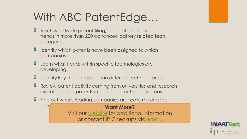# With ABC PatentEdge…

- 픃 Track worldwide patent filing, publication and issuance trends in more than 200 advanced battery related tech categories
- Identify which patents have been assigned to which companies
- Learn what trends within specific technologies are developing
- 픃 Identify key thought leaders in different technical areas
- 풓 Review patent activity coming from universities and research institutions filing patents in particular technology areas
- Find out where leading companies are really making their bets **Want More?**  Visit our [website](http://www.ipcheckups.com/) for additional information or contact IP Checkups via [email](mailto:info@ipcheckups.com?subject=ABC PatentEdge Q3 2013 Report).